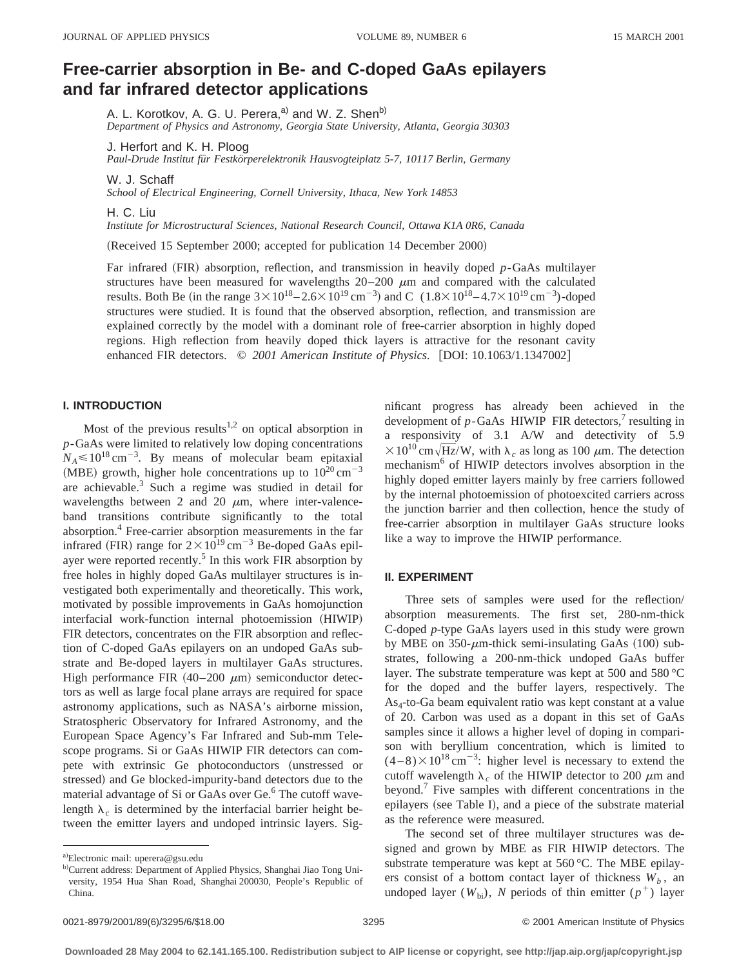# **Free-carrier absorption in Be- and C-doped GaAs epilayers and far infrared detector applications**

A. L. Korotkov, A. G. U. Perera,<sup>a)</sup> and W. Z. Shen<sup>b)</sup>

*Department of Physics and Astronomy, Georgia State University, Atlanta, Georgia 30303*

J. Herfort and K. H. Ploog

*Paul-Drude Institut fu¨r Festko¨rperelektronik Hausvogteiplatz 5-7, 10117 Berlin, Germany*

W. J. Schaff

*School of Electrical Engineering, Cornell University, Ithaca, New York 14853*

H. C. Liu

*Institute for Microstructural Sciences, National Research Council, Ottawa K1A 0R6, Canada*

(Received 15 September 2000; accepted for publication 14 December 2000)

Far infrared (FIR) absorption, reflection, and transmission in heavily doped *p*-GaAs multilayer structures have been measured for wavelengths  $20-200 \mu m$  and compared with the calculated results. Both Be (in the range  $3 \times 10^{18} - 2.6 \times 10^{19}$  cm<sup>-3</sup>) and C  $(1.8 \times 10^{18} - 4.7 \times 10^{19}$  cm<sup>-3</sup>)-doped structures were studied. It is found that the observed absorption, reflection, and transmission are explained correctly by the model with a dominant role of free-carrier absorption in highly doped regions. High reflection from heavily doped thick layers is attractive for the resonant cavity enhanced FIR detectors.  $\degree$  2001 American Institute of Physics. [DOI: 10.1063/1.1347002]

### **I. INTRODUCTION**

Most of the previous results<sup>1,2</sup> on optical absorption in *p*-GaAs were limited to relatively low doping concentrations  $N_A \le 10^{18} \text{ cm}^{-3}$ . By means of molecular beam epitaxial (MBE) growth, higher hole concentrations up to  $10^{20}$  cm<sup>-3</sup> are achievable.3 Such a regime was studied in detail for wavelengths between 2 and 20  $\mu$ m, where inter-valenceband transitions contribute significantly to the total absorption.<sup>4</sup> Free-carrier absorption measurements in the far infrared (FIR) range for  $2 \times 10^{19}$  cm<sup>-3</sup> Be-doped GaAs epilayer were reported recently.<sup>5</sup> In this work FIR absorption by free holes in highly doped GaAs multilayer structures is investigated both experimentally and theoretically. This work, motivated by possible improvements in GaAs homojunction interfacial work-function internal photoemission (HIWIP) FIR detectors, concentrates on the FIR absorption and reflection of C-doped GaAs epilayers on an undoped GaAs substrate and Be-doped layers in multilayer GaAs structures. High performance FIR  $(40-200 \mu m)$  semiconductor detectors as well as large focal plane arrays are required for space astronomy applications, such as NASA's airborne mission, Stratospheric Observatory for Infrared Astronomy, and the European Space Agency's Far Infrared and Sub-mm Telescope programs. Si or GaAs HIWIP FIR detectors can compete with extrinsic Ge photoconductors (unstressed or stressed) and Ge blocked-impurity-band detectors due to the material advantage of Si or GaAs over Ge.<sup>6</sup> The cutoff wavelength  $\lambda_c$  is determined by the interfacial barrier height between the emitter layers and undoped intrinsic layers. Significant progress has already been achieved in the development of  $p$ -GaAs HIWIP FIR detectors,<sup>7</sup> resulting in a responsivity of 3.1 A/W and detectivity of 5.9  $\times 10^{10}$  cm $\sqrt{\text{Hz}}/W$ , with  $\lambda_c$  as long as 100  $\mu$ m. The detection mechanism<sup>6</sup> of HIWIP detectors involves absorption in the highly doped emitter layers mainly by free carriers followed by the internal photoemission of photoexcited carriers across the junction barrier and then collection, hence the study of free-carrier absorption in multilayer GaAs structure looks like a way to improve the HIWIP performance.

#### **II. EXPERIMENT**

Three sets of samples were used for the reflection/ absorption measurements. The first set, 280-nm-thick C-doped *p*-type GaAs layers used in this study were grown by MBE on  $350$ - $\mu$ m-thick semi-insulating GaAs (100) substrates, following a 200-nm-thick undoped GaAs buffer layer. The substrate temperature was kept at 500 and 580 °C for the doped and the buffer layers, respectively. The  $As<sub>4</sub>$ -to-Ga beam equivalent ratio was kept constant at a value of 20. Carbon was used as a dopant in this set of GaAs samples since it allows a higher level of doping in comparison with beryllium concentration, which is limited to  $(4-8) \times 10^{18}$  cm<sup>-3</sup>: higher level is necessary to extend the cutoff wavelength  $\lambda_c$  of the HIWIP detector to 200  $\mu$ m and beyond.<sup>7</sup> Five samples with different concentrations in the epilayers (see Table I), and a piece of the substrate material as the reference were measured.

The second set of three multilayer structures was designed and grown by MBE as FIR HIWIP detectors. The substrate temperature was kept at 560 °C. The MBE epilayers consist of a bottom contact layer of thickness  $W_b$ , an undoped layer ( $W_{bi}$ ), *N* periods of thin emitter ( $p^+$ ) layer

a)Electronic mail: uperera@gsu.edu

b)Current address: Department of Applied Physics, Shanghai Jiao Tong University, 1954 Hua Shan Road, Shanghai 200030, People's Republic of China.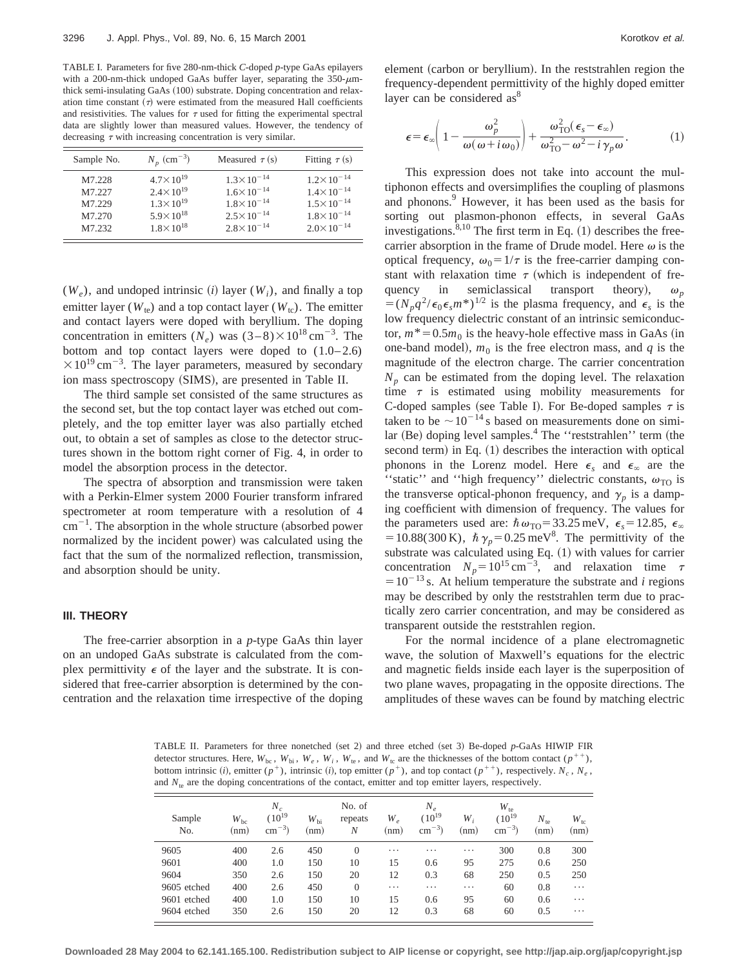TABLE I. Parameters for five 280-nm-thick *C*-doped *p*-type GaAs epilayers with a 200-nm-thick undoped GaAs buffer layer, separating the  $350-\mu m$ thick semi-insulating GaAs (100) substrate. Doping concentration and relaxation time constant  $(\tau)$  were estimated from the measured Hall coefficients and resistivities. The values for  $\tau$  used for fitting the experimental spectral data are slightly lower than measured values. However, the tendency of decreasing  $\tau$  with increasing concentration is very similar.

| Sample No. | $N_p$ (cm <sup>-3</sup> ) | Measured $\tau(s)$    | Fitting $\tau(s)$     |
|------------|---------------------------|-----------------------|-----------------------|
| M7.228     | $4.7 \times 10^{19}$      | $1.3 \times 10^{-14}$ | $1.2 \times 10^{-14}$ |
| M7.227     | $2.4 \times 10^{19}$      | $1.6 \times 10^{-14}$ | $1.4 \times 10^{-14}$ |
| M7.229     | $1.3 \times 10^{19}$      | $1.8 \times 10^{-14}$ | $1.5 \times 10^{-14}$ |
| M7.270     | $5.9 \times 10^{18}$      | $2.5 \times 10^{-14}$ | $1.8 \times 10^{-14}$ |
| M7.232     | $1.8 \times 10^{18}$      | $2.8 \times 10^{-14}$ | $2.0 \times 10^{-14}$ |

 $(W_e)$ , and undoped intrinsic *(i)* layer  $(W_i)$ , and finally a top emitter layer ( $W_{te}$ ) and a top contact layer ( $W_{tc}$ ). The emitter and contact layers were doped with beryllium. The doping concentration in emitters  $(N_e)$  was  $(3-8) \times 10^{18}$  cm<sup>-3</sup>. The bottom and top contact layers were doped to  $(1.0-2.6)$  $\times 10^{19}$  cm<sup>-3</sup>. The layer parameters, measured by secondary ion mass spectroscopy (SIMS), are presented in Table II.

The third sample set consisted of the same structures as the second set, but the top contact layer was etched out completely, and the top emitter layer was also partially etched out, to obtain a set of samples as close to the detector structures shown in the bottom right corner of Fig. 4, in order to model the absorption process in the detector.

The spectra of absorption and transmission were taken with a Perkin-Elmer system 2000 Fourier transform infrared spectrometer at room temperature with a resolution of 4  $\text{cm}^{-1}$ . The absorption in the whole structure (absorbed power normalized by the incident power) was calculated using the fact that the sum of the normalized reflection, transmission, and absorption should be unity.

#### **III. THEORY**

The free-carrier absorption in a *p*-type GaAs thin layer on an undoped GaAs substrate is calculated from the complex permittivity  $\epsilon$  of the layer and the substrate. It is considered that free-carrier absorption is determined by the concentration and the relaxation time irrespective of the doping element (carbon or beryllium). In the reststrahlen region the frequency-dependent permittivity of the highly doped emitter layer can be considered as<sup>8</sup>

$$
\epsilon = \epsilon_{\infty} \left( 1 - \frac{\omega_p^2}{\omega(\omega + i\omega_0)} \right) + \frac{\omega_{\text{TO}}^2(\epsilon_s - \epsilon_{\infty})}{\omega_{\text{TO}}^2 - \omega^2 - i\gamma_p \omega}.
$$
 (1)

This expression does not take into account the multiphonon effects and oversimplifies the coupling of plasmons and phonons.<sup>9</sup> However, it has been used as the basis for sorting out plasmon-phonon effects, in several GaAs investigations. $8,10$  The first term in Eq. (1) describes the freecarrier absorption in the frame of Drude model. Here  $\omega$  is the optical frequency,  $\omega_0 = 1/\tau$  is the free-carrier damping constant with relaxation time  $\tau$  (which is independent of frequency in semiclassical transport theory),  $\omega_n$  $=(N_p q^2/\epsilon_0 \epsilon_s m^*)^{1/2}$  is the plasma frequency, and  $\epsilon_s$  is the low frequency dielectric constant of an intrinsic semiconductor,  $m^*$  = 0.5 $m_0$  is the heavy-hole effective mass in GaAs (in one-band model),  $m_0$  is the free electron mass, and  $q$  is the magnitude of the electron charge. The carrier concentration  $N_p$  can be estimated from the doping level. The relaxation time  $\tau$  is estimated using mobility measurements for C-doped samples (see Table I). For Be-doped samples  $\tau$  is taken to be  $\sim 10^{-14}$  s based on measurements done on simi $lar (Be)$  doping level samples.<sup>4</sup> The "reststrahlen" term (the second term) in Eq.  $(1)$  describes the interaction with optical phonons in the Lorenz model. Here  $\epsilon_s$  and  $\epsilon_{\infty}$  are the "static" and "high frequency" dielectric constants,  $\omega_{\text{TO}}$  is the transverse optical-phonon frequency, and  $\gamma_p$  is a damping coefficient with dimension of frequency. The values for the parameters used are:  $\hbar \omega_{\text{TO}} = 33.25 \text{ meV}, \epsilon_s = 12.85, \epsilon_{\infty}$  $=10.88(300 \text{ K})$ ,  $\hbar \gamma_p = 0.25 \text{ meV}^8$ . The permittivity of the substrate was calculated using Eq.  $(1)$  with values for carrier concentration  $N_p = 10^{15} \text{ cm}^{-3}$ , and relaxation time  $\tau$  $=10^{-13}$  s. At helium temperature the substrate and *i* regions may be described by only the reststrahlen term due to practically zero carrier concentration, and may be considered as transparent outside the reststrahlen region.

For the normal incidence of a plane electromagnetic wave, the solution of Maxwell's equations for the electric and magnetic fields inside each layer is the superposition of two plane waves, propagating in the opposite directions. The amplitudes of these waves can be found by matching electric

TABLE II. Parameters for three nonetched (set 2) and three etched (set 3) Be-doped  $p$ -GaAs HIWIP FIR detector structures. Here,  $W_{bc}$ ,  $W_{bi}$ ,  $W_e$ ,  $W_i$ ,  $W_{te}$ , and  $W_{tc}$  are the thicknesses of the bottom contact  $(p^{++})$ , bottom intrinsic (*i*), emitter ( $p^+$ ), intrinsic (*i*), top emitter ( $p^+$ ), and top contact ( $p^{++}$ ), respectively.  $N_c$ ,  $N_e$ , and  $N_{te}$  are the doping concentrations of the contact, emitter and top emitter layers, respectively.

| Sample<br>N <sub>o</sub> | $W_{\text{bc}}$<br>(nm) | $N_c$<br>$(10^{19}$<br>$\text{cm}^{-3}$ ) | $W_{\rm bi}$<br>(nm) | No. of<br>repeats<br>N | $W_{\rho}$<br>(nm) | $N_e$<br>$(10^{19}$<br>$\text{cm}^{-3}$ ) | W,<br>(nm) | $W_{te}$<br>$(10^{19}$<br>$^{-3}$<br>cm | $N_{\text{te}}$<br>(nm) | $W_{tc}$<br>(nm) |
|--------------------------|-------------------------|-------------------------------------------|----------------------|------------------------|--------------------|-------------------------------------------|------------|-----------------------------------------|-------------------------|------------------|
| 9605                     | 400                     | 2.6                                       | 450                  | $\theta$               | $\cdots$           | .                                         | $\cdots$   | 300                                     | 0.8                     | 300              |
| 9601                     | 400                     | 1.0                                       | 150                  | 10                     | 15                 | 0.6                                       | 95         | 275                                     | 0.6                     | 250              |
| 9604                     | 350                     | 2.6                                       | 150                  | 20                     | 12                 | 0.3                                       | 68         | 250                                     | 0.5                     | 250              |
| 9605 etched              | 400                     | 2.6                                       | 450                  | $\theta$               | $\cdots$           | .                                         | $\cdots$   | 60                                      | 0.8                     | .                |
| 9601 etched              | 400                     | 1.0                                       | 150                  | 10                     | 15                 | 0.6                                       | 95         | 60                                      | 0.6                     | .                |
| 9604 etched              | 350                     | 2.6                                       | 150                  | 20                     | 12                 | 0.3                                       | 68         | 60                                      | 0.5                     | .                |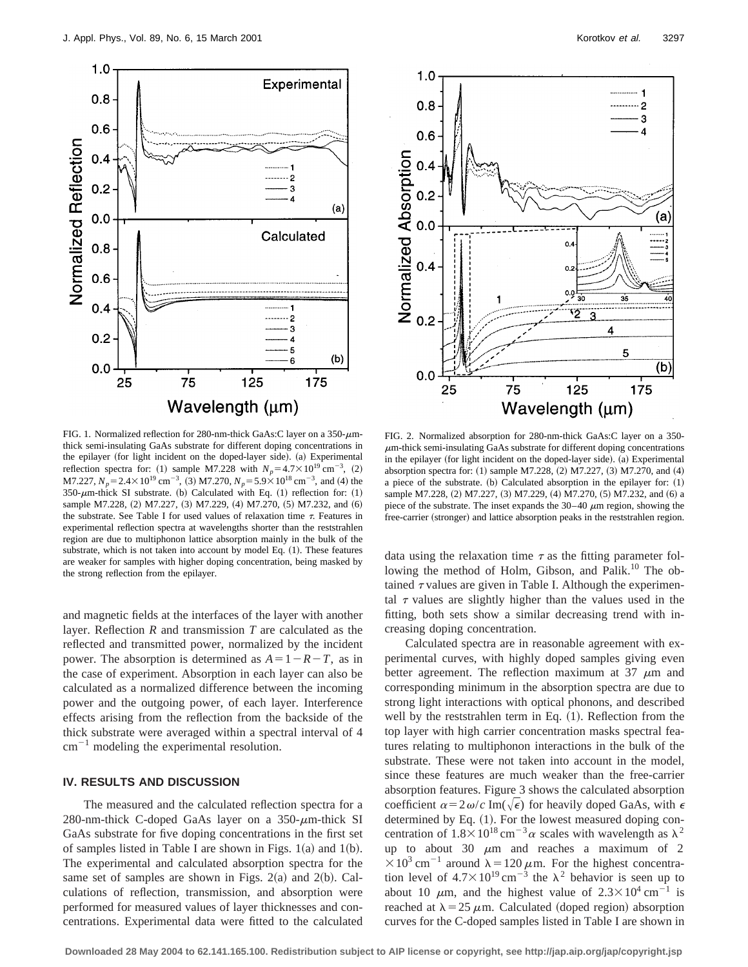

FIG. 1. Normalized reflection for 280-nm-thick GaAs:C layer on a  $350-\mu$ mthick semi-insulating GaAs substrate for different doping concentrations in the epilayer (for light incident on the doped-layer side). (a) Experimental reflection spectra for: (1) sample M7.228 with  $N_p = 4.7 \times 10^{19}$  cm<sup>-3</sup>, (2) M7.227,  $N_p = 2.4 \times 10^{19}$  cm<sup>-3</sup>, (3) M7.270,  $N_p = 5.9 \times 10^{18}$  cm<sup>-3</sup>, and (4) the 350- $\mu$ m-thick SI substrate. (b) Calculated with Eq. (1) reflection for: (1) sample M7.228, (2) M7.227, (3) M7.229, (4) M7.270, (5) M7.232, and (6) the substrate. See Table I for used values of relaxation time  $\tau$ . Features in experimental reflection spectra at wavelengths shorter than the reststrahlen region are due to multiphonon lattice absorption mainly in the bulk of the substrate, which is not taken into account by model Eq. (1). These features are weaker for samples with higher doping concentration, being masked by the strong reflection from the epilayer.

and magnetic fields at the interfaces of the layer with another layer. Reflection *R* and transmission *T* are calculated as the reflected and transmitted power, normalized by the incident power. The absorption is determined as  $A=1-R-T$ , as in the case of experiment. Absorption in each layer can also be calculated as a normalized difference between the incoming power and the outgoing power, of each layer. Interference effects arising from the reflection from the backside of the thick substrate were averaged within a spectral interval of 4  $cm^{-1}$  modeling the experimental resolution.

#### **IV. RESULTS AND DISCUSSION**

The measured and the calculated reflection spectra for a 280-nm-thick C-doped GaAs layer on a  $350$ - $\mu$ m-thick SI GaAs substrate for five doping concentrations in the first set of samples listed in Table I are shown in Figs.  $1(a)$  and  $1(b)$ . The experimental and calculated absorption spectra for the same set of samples are shown in Figs.  $2(a)$  and  $2(b)$ . Calculations of reflection, transmission, and absorption were performed for measured values of layer thicknesses and concentrations. Experimental data were fitted to the calculated



FIG. 2. Normalized absorption for 280-nm-thick GaAs:C layer on a 350-  $\mu$ m-thick semi-insulating GaAs substrate for different doping concentrations in the epilayer (for light incident on the doped-layer side). (a) Experimental absorption spectra for: (1) sample M7.228, (2) M7.227, (3) M7.270, and (4) a piece of the substrate.  $(b)$  Calculated absorption in the epilayer for:  $(1)$ sample M7.228, (2) M7.227, (3) M7.229, (4) M7.270, (5) M7.232, and (6) a piece of the substrate. The inset expands the  $30-40 \mu m$  region, showing the free-carrier (stronger) and lattice absorption peaks in the reststrahlen region.

data using the relaxation time  $\tau$  as the fitting parameter following the method of Holm, Gibson, and Palik.<sup>10</sup> The obtained  $\tau$  values are given in Table I. Although the experimental  $\tau$  values are slightly higher than the values used in the fitting, both sets show a similar decreasing trend with increasing doping concentration.

Calculated spectra are in reasonable agreement with experimental curves, with highly doped samples giving even better agreement. The reflection maximum at 37  $\mu$ m and corresponding minimum in the absorption spectra are due to strong light interactions with optical phonons, and described well by the reststrahlen term in Eq.  $(1)$ . Reflection from the top layer with high carrier concentration masks spectral features relating to multiphonon interactions in the bulk of the substrate. These were not taken into account in the model, since these features are much weaker than the free-carrier absorption features. Figure 3 shows the calculated absorption coefficient  $\alpha = 2\omega/c$  Im( $\sqrt{\epsilon}$ ) for heavily doped GaAs, with  $\epsilon$ determined by Eq. (1). For the lowest measured doping concentration of  $1.8 \times 10^{18}$  cm<sup>-3</sup>a scales with wavelength as  $\lambda^2$ up to about 30  $\mu$ m and reaches a maximum of 2  $\times 10^3$  cm<sup>-1</sup> around  $\lambda = 120 \mu$ m. For the highest concentration level of  $4.7 \times 10^{19}$  cm<sup>-3</sup> the  $\lambda^2$  behavior is seen up to about 10  $\mu$ m, and the highest value of  $2.3 \times 10^4$  cm<sup>-1</sup> is reached at  $\lambda = 25 \mu \text{m}$ . Calculated (doped region) absorption curves for the C-doped samples listed in Table I are shown in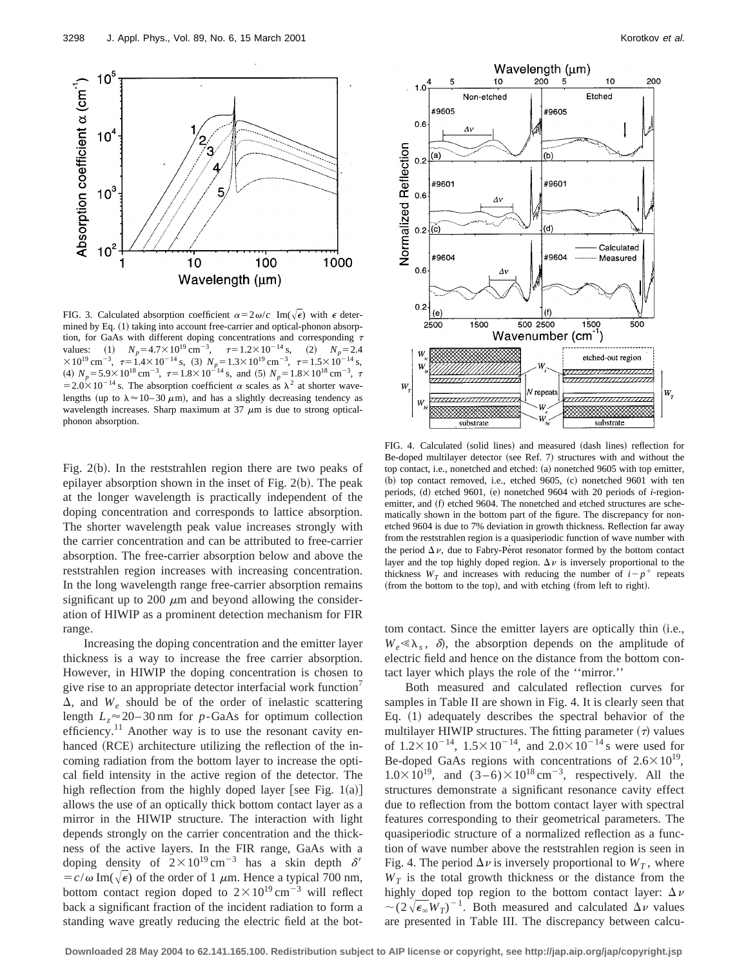

FIG. 3. Calculated absorption coefficient  $\alpha = 2\omega/c$  Im( $\sqrt{\epsilon}$ ) with  $\epsilon$  determined by Eq. (1) taking into account free-carrier and optical-phonon absorption, for GaAs with different doping concentrations and corresponding  $\tau$ values: (1)  $N_p = 4.7 \times 10^{19} \text{ cm}^{-3}$ ,  $\tau = 1.2 \times 10^{-14} \text{ s}$ , (2)  $N_p = 2.4$  $\times 10^{19}$  cm<sup>-3</sup>,  $\tau = 1.4 \times 10^{-14}$  s, (3)  $N_p = 1.3 \times 10^{19}$  cm<sup>-3</sup>,  $\tau = 1.5 \times 10^{-14}$  s, (4)  $N_p = 5.9 \times 10^{18} \text{ cm}^{-3}$ ,  $\tau = 1.8 \times 10^{-14} \text{ s}$ , and (5)  $N_p = 1.8 \times 10^{18} \text{ cm}^{-3}$ ,  $\tau$  $=2.0\times10^{-14}$  s. The absorption coefficient  $\alpha$  scales as  $\lambda^2$  at shorter wavelengths (up to  $\lambda \approx 10-30 \ \mu \text{m}$ ), and has a slightly decreasing tendency as wavelength increases. Sharp maximum at  $37 \mu m$  is due to strong opticalphonon absorption.

Fig.  $2(b)$ . In the reststrahlen region there are two peaks of epilayer absorption shown in the inset of Fig.  $2(b)$ . The peak at the longer wavelength is practically independent of the doping concentration and corresponds to lattice absorption. The shorter wavelength peak value increases strongly with the carrier concentration and can be attributed to free-carrier absorption. The free-carrier absorption below and above the reststrahlen region increases with increasing concentration. In the long wavelength range free-carrier absorption remains significant up to 200  $\mu$ m and beyond allowing the consideration of HIWIP as a prominent detection mechanism for FIR range.

Increasing the doping concentration and the emitter layer thickness is a way to increase the free carrier absorption. However, in HIWIP the doping concentration is chosen to give rise to an appropriate detector interfacial work function<sup>7</sup>  $\Delta$ , and  $W_e$  should be of the order of inelastic scattering length  $L_z \approx 20 - 30$  nm for *p*-GaAs for optimum collection efficiency.<sup>11</sup> Another way is to use the resonant cavity enhanced (RCE) architecture utilizing the reflection of the incoming radiation from the bottom layer to increase the optical field intensity in the active region of the detector. The high reflection from the highly doped layer [see Fig. 1(a)] allows the use of an optically thick bottom contact layer as a mirror in the HIWIP structure. The interaction with light depends strongly on the carrier concentration and the thickness of the active layers. In the FIR range, GaAs with a doping density of  $2 \times 10^{19}$  cm<sup>-3</sup> has a skin depth  $\delta'$  $= c/\omega \operatorname{Im}(\sqrt{\epsilon})$  of the order of 1  $\mu$ m. Hence a typical 700 nm, bottom contact region doped to  $2 \times 10^{19}$  cm<sup>-3</sup> will reflect back a significant fraction of the incident radiation to form a standing wave greatly reducing the electric field at the bot-



FIG. 4. Calculated (solid lines) and measured (dash lines) reflection for Be-doped multilayer detector (see Ref. 7) structures with and without the top contact, i.e., nonetched and etched: (a) nonetched 9605 with top emitter,  $(b)$  top contact removed, i.e., etched 9605,  $(c)$  nonetched 9601 with ten periods, (d) etched 9601, (e) nonetched 9604 with 20 periods of *i*-regionemitter, and (f) etched 9604. The nonetched and etched structures are schematically shown in the bottom part of the figure. The discrepancy for nonetched 9604 is due to 7% deviation in growth thickness. Reflection far away from the reststrahlen region is a quasiperiodic function of wave number with the period  $\Delta \nu$ , due to Fabry-Pérot resonator formed by the bottom contact layer and the top highly doped region.  $\Delta \nu$  is inversely proportional to the thickness  $W_T$  and increases with reducing the number of  $i-p^+$  repeats (from the bottom to the top), and with etching (from left to right).

tom contact. Since the emitter layers are optically thin (i.e.,  $W_e \ll \lambda_s$ ,  $\delta$ , the absorption depends on the amplitude of electric field and hence on the distance from the bottom contact layer which plays the role of the ''mirror.''

Both measured and calculated reflection curves for samples in Table II are shown in Fig. 4. It is clearly seen that Eq.  $(1)$  adequately describes the spectral behavior of the multilayer HIWIP structures. The fitting parameter  $(\tau)$  values of  $1.2 \times 10^{-14}$ ,  $1.5 \times 10^{-14}$ , and  $2.0 \times 10^{-14}$  s were used for Be-doped GaAs regions with concentrations of  $2.6\times10^{19}$ ,  $1.0 \times 10^{19}$ , and  $(3-6) \times 10^{18}$  cm<sup>-3</sup>, respectively. All the structures demonstrate a significant resonance cavity effect due to reflection from the bottom contact layer with spectral features corresponding to their geometrical parameters. The quasiperiodic structure of a normalized reflection as a function of wave number above the reststrahlen region is seen in Fig. 4. The period  $\Delta \nu$  is inversely proportional to  $W_T$ , where  $W_T$  is the total growth thickness or the distance from the highly doped top region to the bottom contact layer:  $\Delta \nu$  $\sim (2\sqrt{\epsilon_{\infty}}W_T)^{-1}$ . Both measured and calculated  $\Delta \nu$  values are presented in Table III. The discrepancy between calcu-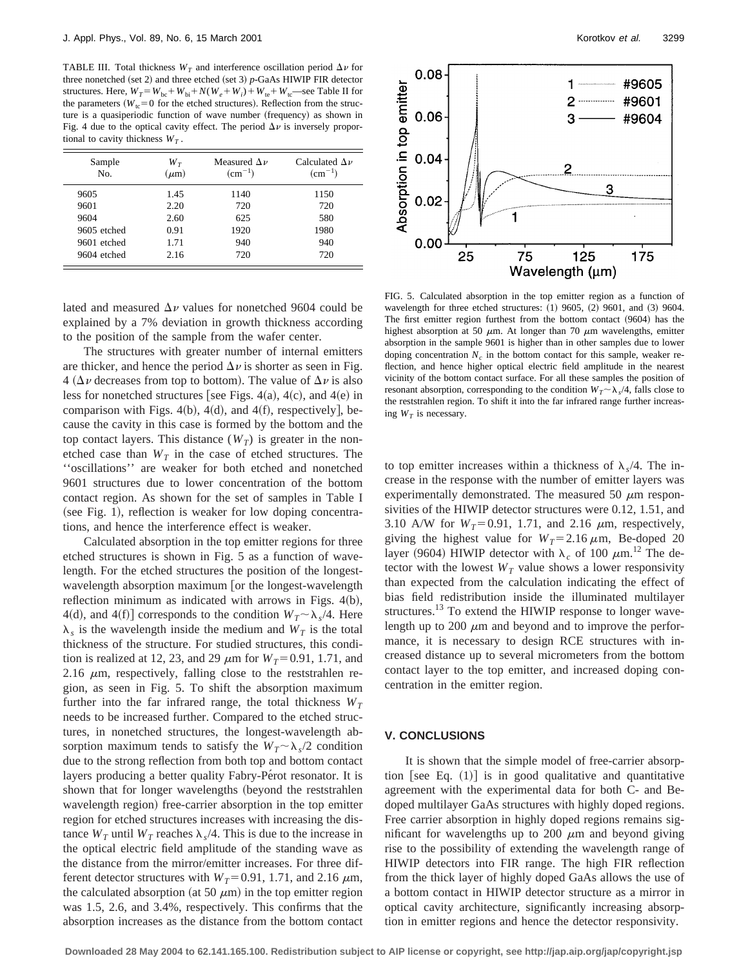TABLE III. Total thickness  $W_T$  and interference oscillation period  $\Delta \nu$  for three nonetched (set 2) and three etched (set 3)  $p$ -GaAs HIWIP FIR detector structures. Here,  $W_T = W_{bc} + W_{bi} + N(W_e + W_i) + W_{te} + W_{tc}$ —see Table II for the parameters  $(W_{tc} = 0$  for the etched structures). Reflection from the structure is a quasiperiodic function of wave number (frequency) as shown in Fig. 4 due to the optical cavity effect. The period  $\Delta \nu$  is inversely proportional to cavity thickness  $W_T$ .

| Sample<br>No. | $W_T$<br>$(\mu m)$ | Measured $\Delta \nu$<br>$\rm (cm^{-1})$ | Calculated $\Delta \nu$<br>$\rm (cm^{-1})$ |
|---------------|--------------------|------------------------------------------|--------------------------------------------|
| 9605          | 1.45               | 1140                                     | 1150                                       |
| 9601          | 2.20               | 720                                      | 720                                        |
| 9604          | 2.60               | 625                                      | 580                                        |
| 9605 etched   | 0.91               | 1920                                     | 1980                                       |
| 9601 etched   | 1.71               | 940                                      | 940                                        |
| 9604 etched   | 2.16               | 720                                      | 720                                        |

lated and measured  $\Delta \nu$  values for nonetched 9604 could be explained by a 7% deviation in growth thickness according to the position of the sample from the wafer center.

The structures with greater number of internal emitters are thicker, and hence the period  $\Delta \nu$  is shorter as seen in Fig. 4 ( $\Delta \nu$  decreases from top to bottom). The value of  $\Delta \nu$  is also less for nonetched structures [see Figs. 4(a), 4(c), and 4(e) in comparison with Figs.  $4(b)$ ,  $4(d)$ , and  $4(f)$ , respectively], because the cavity in this case is formed by the bottom and the top contact layers. This distance  $(W_T)$  is greater in the nonetched case than  $W_T$  in the case of etched structures. The ''oscillations'' are weaker for both etched and nonetched 9601 structures due to lower concentration of the bottom contact region. As shown for the set of samples in Table I  $(see Fig. 1)$ , reflection is weaker for low doping concentrations, and hence the interference effect is weaker.

Calculated absorption in the top emitter regions for three etched structures is shown in Fig. 5 as a function of wavelength. For the etched structures the position of the longestwavelength absorption maximum or the longest-wavelength reflection minimum as indicated with arrows in Figs.  $4(b)$ , 4(d), and 4(f)] corresponds to the condition  $W_T \sim \lambda_s/4$ . Here  $\lambda_s$  is the wavelength inside the medium and  $W_T$  is the total thickness of the structure. For studied structures, this condition is realized at 12, 23, and 29  $\mu$ m for  $W_T$ =0.91, 1.71, and 2.16  $\mu$ m, respectively, falling close to the reststrahlen region, as seen in Fig. 5. To shift the absorption maximum further into the far infrared range, the total thickness  $W_T$ needs to be increased further. Compared to the etched structures, in nonetched structures, the longest-wavelength absorption maximum tends to satisfy the  $W_T \sim \lambda_s/2$  condition due to the strong reflection from both top and bottom contact layers producing a better quality Fabry-Pe<sup>rot</sup> resonator. It is shown that for longer wavelengths (beyond the reststrahlen wavelength region) free-carrier absorption in the top emitter region for etched structures increases with increasing the distance  $W_T$  until  $W_T$  reaches  $\lambda_s/4$ . This is due to the increase in the optical electric field amplitude of the standing wave as the distance from the mirror/emitter increases. For three different detector structures with  $W_T$ = 0.91, 1.71, and 2.16  $\mu$ m, the calculated absorption (at 50  $\mu$ m) in the top emitter region was 1.5, 2.6, and 3.4%, respectively. This confirms that the absorption increases as the distance from the bottom contact



FIG. 5. Calculated absorption in the top emitter region as a function of wavelength for three etched structures:  $(1)$  9605,  $(2)$  9601, and  $(3)$  9604. The first emitter region furthest from the bottom contact  $(9604)$  has the highest absorption at 50  $\mu$ m. At longer than 70  $\mu$ m wavelengths, emitter absorption in the sample 9601 is higher than in other samples due to lower doping concentration  $N_c$  in the bottom contact for this sample, weaker reflection, and hence higher optical electric field amplitude in the nearest vicinity of the bottom contact surface. For all these samples the position of resonant absorption, corresponding to the condition  $W_T \sim \lambda_s/4$ , falls close to the reststrahlen region. To shift it into the far infrared range further increasing  $W_T$  is necessary.

to top emitter increases within a thickness of  $\lambda$ ,/4. The increase in the response with the number of emitter layers was experimentally demonstrated. The measured 50  $\mu$ m responsivities of the HIWIP detector structures were 0.12, 1.51, and 3.10 A/W for  $W_T = 0.91$ , 1.71, and 2.16  $\mu$ m, respectively, giving the highest value for  $W_T = 2.16 \,\mu \text{m}$ , Be-doped 20 layer (9604) HIWIP detector with  $\lambda_c$  of 100  $\mu$ m.<sup>12</sup> The detector with the lowest  $W_T$  value shows a lower responsivity than expected from the calculation indicating the effect of bias field redistribution inside the illuminated multilayer structures.<sup>13</sup> To extend the HIWIP response to longer wavelength up to 200  $\mu$ m and beyond and to improve the performance, it is necessary to design RCE structures with increased distance up to several micrometers from the bottom contact layer to the top emitter, and increased doping concentration in the emitter region.

#### **V. CONCLUSIONS**

It is shown that the simple model of free-carrier absorption [see Eq.  $(1)$ ] is in good qualitative and quantitative agreement with the experimental data for both C- and Bedoped multilayer GaAs structures with highly doped regions. Free carrier absorption in highly doped regions remains significant for wavelengths up to 200  $\mu$ m and beyond giving rise to the possibility of extending the wavelength range of HIWIP detectors into FIR range. The high FIR reflection from the thick layer of highly doped GaAs allows the use of a bottom contact in HIWIP detector structure as a mirror in optical cavity architecture, significantly increasing absorption in emitter regions and hence the detector responsivity.